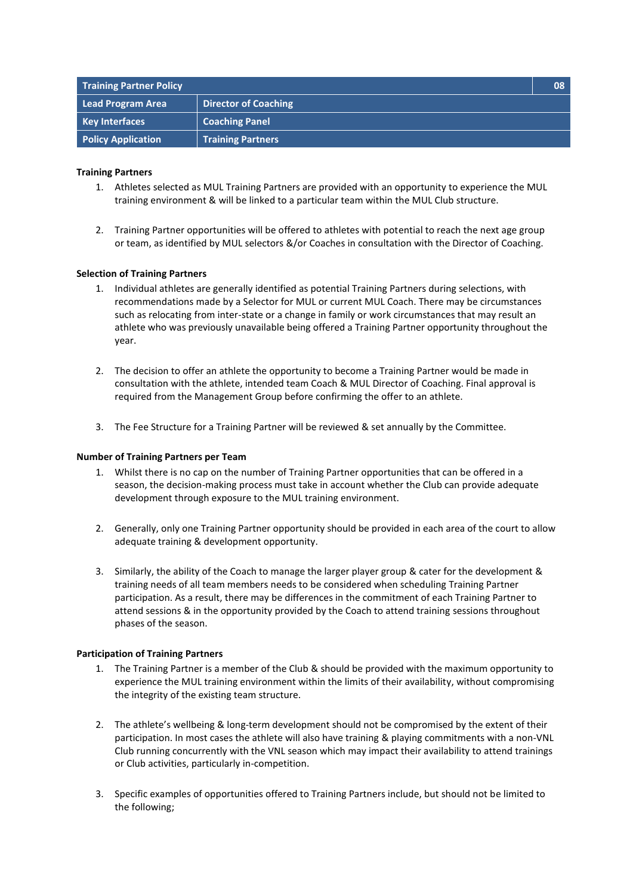| <b>Training Partner Policy</b> |                             | 08 |
|--------------------------------|-----------------------------|----|
| Lead Program Area              | <b>Director of Coaching</b> |    |
| <b>Key Interfaces</b>          | <b>Coaching Panel</b>       |    |
| <b>Policy Application</b>      | <b>Training Partners</b>    |    |

# **Training Partners**

- 1. Athletes selected as MUL Training Partners are provided with an opportunity to experience the MUL training environment & will be linked to a particular team within the MUL Club structure.
- 2. Training Partner opportunities will be offered to athletes with potential to reach the next age group or team, as identified by MUL selectors &/or Coaches in consultation with the Director of Coaching.

# **Selection of Training Partners**

- 1. Individual athletes are generally identified as potential Training Partners during selections, with recommendations made by a Selector for MUL or current MUL Coach. There may be circumstances such as relocating from inter-state or a change in family or work circumstances that may result an athlete who was previously unavailable being offered a Training Partner opportunity throughout the year.
- 2. The decision to offer an athlete the opportunity to become a Training Partner would be made in consultation with the athlete, intended team Coach & MUL Director of Coaching. Final approval is required from the Management Group before confirming the offer to an athlete.
- 3. The Fee Structure for a Training Partner will be reviewed & set annually by the Committee.

# **Number of Training Partners per Team**

- 1. Whilst there is no cap on the number of Training Partner opportunities that can be offered in a season, the decision-making process must take in account whether the Club can provide adequate development through exposure to the MUL training environment.
- 2. Generally, only one Training Partner opportunity should be provided in each area of the court to allow adequate training & development opportunity.
- 3. Similarly, the ability of the Coach to manage the larger player group & cater for the development & training needs of all team members needs to be considered when scheduling Training Partner participation. As a result, there may be differences in the commitment of each Training Partner to attend sessions & in the opportunity provided by the Coach to attend training sessions throughout phases of the season.

# **Participation of Training Partners**

- 1. The Training Partner is a member of the Club & should be provided with the maximum opportunity to experience the MUL training environment within the limits of their availability, without compromising the integrity of the existing team structure.
- 2. The athlete's wellbeing & long-term development should not be compromised by the extent of their participation. In most cases the athlete will also have training & playing commitments with a non-VNL Club running concurrently with the VNL season which may impact their availability to attend trainings or Club activities, particularly in-competition.
- 3. Specific examples of opportunities offered to Training Partners include, but should not be limited to the following;